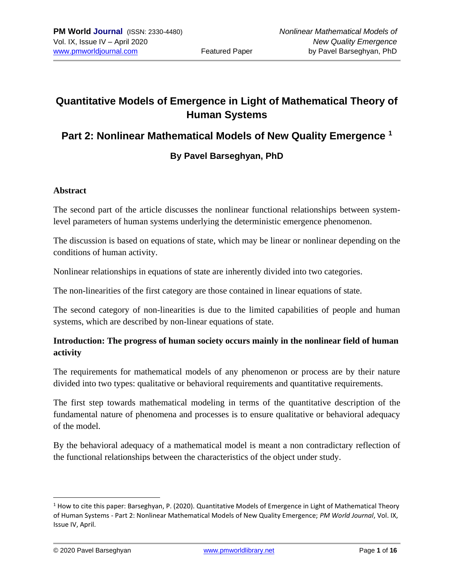# **Quantitative Models of Emergence in Light of Mathematical Theory of Human Systems**

### **Part 2: Nonlinear Mathematical Models of New Quality Emergence <sup>1</sup>**

### **By Pavel Barseghyan, PhD**

#### **Abstract**

The second part of the article discusses the nonlinear functional relationships between systemlevel parameters of human systems underlying the deterministic emergence phenomenon.

The discussion is based on equations of state, which may be linear or nonlinear depending on the conditions of human activity.

Nonlinear relationships in equations of state are inherently divided into two categories.

The non-linearities of the first category are those contained in linear equations of state.

The second category of non-linearities is due to the limited capabilities of people and human systems, which are described by non-linear equations of state.

### **Introduction: The progress of human society occurs mainly in the nonlinear field of human activity**

The requirements for mathematical models of any phenomenon or process are by their nature divided into two types: qualitative or behavioral requirements and quantitative requirements.

The first step towards mathematical modeling in terms of the quantitative description of the fundamental nature of phenomena and processes is to ensure qualitative or behavioral adequacy of the model.

By the behavioral adequacy of a mathematical model is meant a non contradictary reflection of the functional relationships between the characteristics of the object under study.

 $1$  How to cite this paper: Barseghyan, P. (2020). Quantitative Models of Emergence in Light of Mathematical Theory of Human Systems - Part 2: Nonlinear Mathematical Models of New Quality Emergence; *PM World Journal*, Vol. IX, Issue IV, April.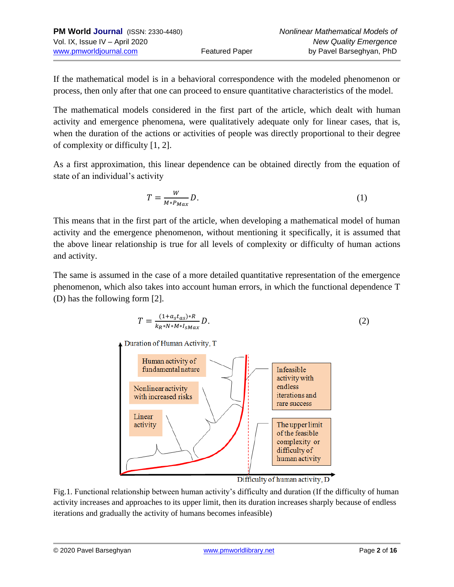| <b>PM World Journal (ISSN: 2330-4480)</b> |                       | Nonlinear Mathematical Models of |
|-------------------------------------------|-----------------------|----------------------------------|
| Vol. IX, Issue IV – April 2020            |                       | <b>New Quality Emergence</b>     |
| www.pmworldjournal.com                    | <b>Featured Paper</b> | by Pavel Barseghyan, PhD         |

If the mathematical model is in a behavioral correspondence with the modeled phenomenon or process, then only after that one can proceed to ensure quantitative characteristics of the model.

The mathematical models considered in the first part of the article, which dealt with human activity and emergence phenomena, were qualitatively adequate only for linear cases, that is, when the duration of the actions or activities of people was directly proportional to their degree of complexity or difficulty [1, 2].

As a first approximation, this linear dependence can be obtained directly from the equation of state of an individual's activity

$$
T = \frac{W}{M \ast P_{Max}} D. \tag{1}
$$

This means that in the first part of the article, when developing a mathematical model of human activity and the emergence phenomenon, without mentioning it specifically, it is assumed that the above linear relationship is true for all levels of complexity or difficulty of human actions and activity.

The same is assumed in the case of a more detailed quantitative representation of the emergence phenomenon, which also takes into account human errors, in which the functional dependence T (D) has the following form [2].

$$
T = \frac{(1 + a_s t_{as})^* R}{k_R * N * M * I_{sMax}} D.
$$
 (2)

Duration of Human Activity, T



Difficulty of human activity, D

Fig.1. Functional relationship between human activity's difficulty and duration (If the difficulty of human activity increases and approaches to its upper limit, then its duration increases sharply because of endless iterations and gradually the activity of humans becomes infeasible)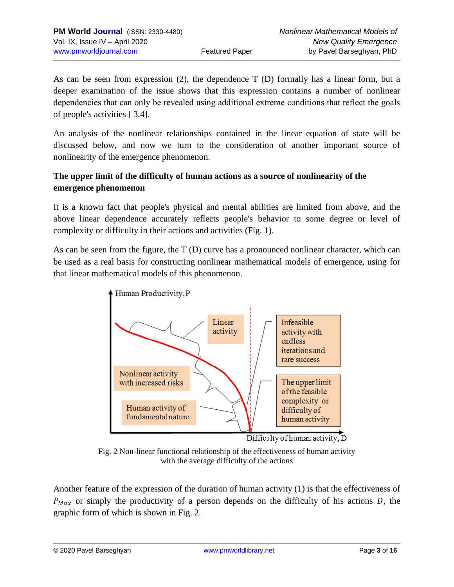As can be seen from expression (2), the dependence  $T(D)$  formally has a linear form, but a deeper examination of the issue shows that this expression contains a number of nonlinear dependencies that can only be revealed using additional extremе conditions that reflect the goals of people's activities [ 3.4].

An analysis of the nonlinear relationships contained in the linear equation of state will be discussed below, and now we turn to the consideration of another important source of nonlinearity of the emergence phenomenon.

### **The upper limit of the difficulty of human actions as a source of nonlinearity of the emergence phenomenon**

It is a known fact that people's physical and mental abilities are limited from above, and the above linear dependence accurately reflects people's behavior to some degree or level of complexity or difficulty in their actions and activities (Fig. 1).

As can be seen from the figure, the T (D) curve has a pronounced nonlinear character, which can be used as a real basis for constructing nonlinear mathematical models of emergence, using for that linear mathematical models of this phenomenon.



Fig. 2 Non-linear functional relationship of the effectiveness of human activity with the average difficulty of the actions

Another feature of the expression of the duration of human activity (1) is that the effectiveness of  $P_{Max}$  or simply the productivity of a person depends on the difficulty of his actions D, the graphic form of which is shown in Fig. 2.

© 2020 Pavel Barseghyan [www.pmworldlibrary.net](http://www.pmworldlibrary.net/) Page **3** of **16**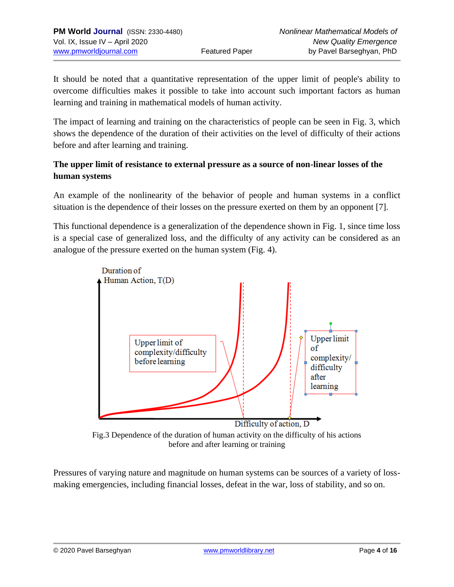It should be noted that a quantitative representation of the upper limit of people's ability to overcome difficulties makes it possible to take into account such important factors as human learning and training in mathematical models of human activity.

The impact of learning and training on the characteristics of people can be seen in Fig. 3, which shows the dependence of the duration of their activities on the level of difficulty of their actions before and after learning and training.

### **The upper limit of resistance to external pressure as a source of non-linear losses of the human systems**

An example of the nonlinearity of the behavior of people and human systems in a conflict situation is the dependence of their losses on the pressure exerted on them by an opponent [7].

This functional dependence is a generalization of the dependence shown in Fig. 1, since time loss is a special case of generalized loss, and the difficulty of any activity can be considered as an analogue of the pressure exerted on the human system (Fig. 4).



Fig.3 Dependence of the duration of human activity on the difficulty of his actions before and after learning or training

Pressures of varying nature and magnitude on human systems can be sources of a variety of lossmaking emergencies, including financial losses, defeat in the war, loss of stability, and so on.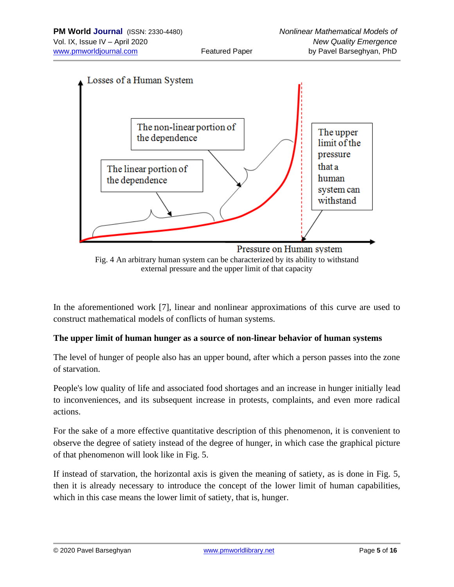

external pressure and the upper limit of that capacity

In the aforementioned work [7], linear and nonlinear approximations of this curve are used to construct mathematical models of conflicts of human systems.

#### **The upper limit of human hunger as a source of non-linear behavior of human systems**

The level of hunger of people also has an upper bound, after which a person passes into the zone of starvation.

People's low quality of life and associated food shortages and an increase in hunger initially lead to inconveniences, and its subsequent increase in protests, complaints, and even more radical actions.

For the sake of a more effective quantitative description of this phenomenon, it is convenient to observe the degree of satiety instead of the degree of hunger, in which case the graphical picture of that phenomenon will look like in Fig. 5.

If instead of starvation, the horizontal axis is given the meaning of satiety, as is done in Fig. 5, then it is already necessary to introduce the concept of the lower limit of human capabilities, which in this case means the lower limit of satiety, that is, hunger.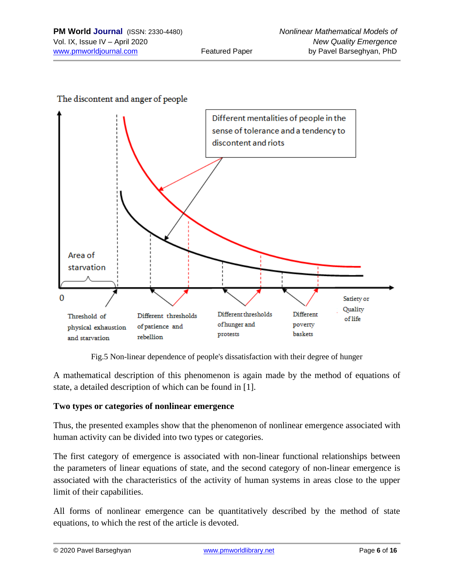



Fig.5 Non-linear dependence of people's dissatisfaction with their degree of hunger

A mathematical description of this phenomenon is again made by the method of equations of state, a detailed description of which can be found in [1].

#### **Two types or categories of nonlinear emergence**

Thus, the presented examples show that the phenomenon of nonlinear emergence associated with human activity can be divided into two types or categories.

The first category of emergence is associated with non-linear functional relationships between the parameters of linear equations of state, and the second category of non-linear emergence is associated with the characteristics of the activity of human systems in areas close to the upper limit of their capabilities.

All forms of nonlinear emergence can be quantitatively described by the method of state equations, to which the rest of the article is devoted.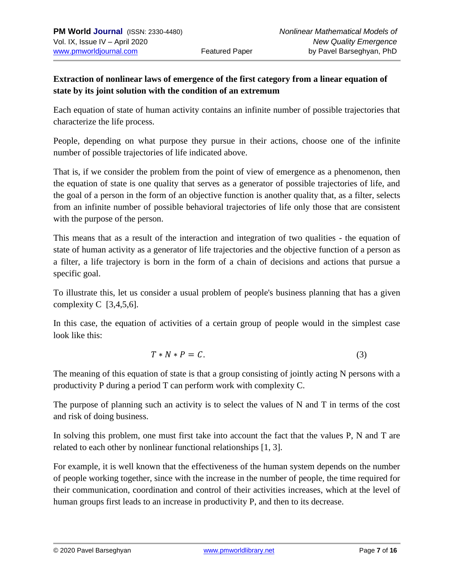### **Extraction of nonlinear laws of emergence of the first category from a linear equation of state by its joint solution with the condition of an extremum**

Each equation of state of human activity contains an infinite number of possible trajectories that characterize the life process.

People, depending on what purpose they pursue in their actions, choose one of the infinite number of possible trajectories of life indicated above.

That is, if we consider the problem from the point of view of emergence as a phenomenon, then the equation of state is one quality that serves as a generator of possible trajectories of life, and the goal of a person in the form of an objective function is another quality that, as a filter, selects from an infinite number of possible behavioral trajectories of life only those that are consistent with the purpose of the person.

This means that as a result of the interaction and integration of two qualities - the equation of state of human activity as a generator of life trajectories and the objective function of a person as a filter, a life trajectory is born in the form of a chain of decisions and actions that pursue a specific goal.

To illustrate this, let us consider a usual problem of people's business planning that has a given complexity  $C$  [3,4,5,6].

In this case, the equation of activities of a certain group of people would in the simplest case look like this:

$$
T*N*P=C.
$$
 (3)

The meaning of this equation of state is that a group consisting of jointly acting N persons with a productivity P during a period T can perform work with complexity C.

The purpose of planning such an activity is to select the values of N and T in terms of the cost and risk of doing business.

In solving this problem, one must first take into account the fact that the values P, N and T are related to each other by nonlinear functional relationships [1, 3].

For example, it is well known that the effectiveness of the human system depends on the number of people working together, since with the increase in the number of people, the time required for their communication, coordination and control of their activities increases, which at the level of human groups first leads to an increase in productivity P, and then to its decrease.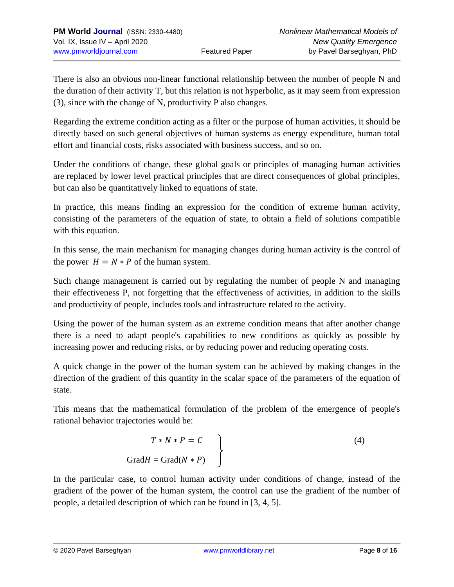There is also an obvious non-linear functional relationship between the number of people N and the duration of their activity T, but this relation is not hyperbolic, as it may seem from expression (3), since with the change of N, productivity P also changes.

Regarding the extreme condition acting as a filter or the purpose of human activities, it should be directly based on such general objectives of human systems as energy expenditure, human total effort and financial costs, risks associated with business success, and so on.

Under the conditions of change, these global goals or principles of managing human activities are replaced by lower level practical principles that are direct consequences of global principles, but can also be quantitatively linked to equations of state.

In practice, this means finding an expression for the condition of extreme human activity, consisting of the parameters of the equation of state, to obtain a field of solutions compatible with this equation.

In this sense, the main mechanism for managing changes during human activity is the control of the power  $H = N * P$  of the human system.

Such change management is carried out by regulating the number of people N and managing their effectiveness P, not forgetting that the effectiveness of activities, in addition to the skills and productivity of people, includes tools and infrastructure related to the activity.

Using the power of the human system as an extreme condition means that after another change there is a need to adapt people's capabilities to new conditions as quickly as possible by increasing power and reducing risks, or by reducing power and reducing operating costs.

A quick change in the power of the human system can be achieved by making changes in the direction of the gradient of this quantity in the scalar space of the parameters of the equation of state.

This means that the mathematical formulation of the problem of the emergence of people's rational behavior trajectories would be:

$$
T * N * P = C
$$
\n
$$
GradH = Grad(N * P)
$$
\n(4)

In the particular case, to control human activity under conditions of change, instead of the gradient of the power of the human system, the control can use the gradient of the number of people, a detailed description of which can be found in [3, 4, 5].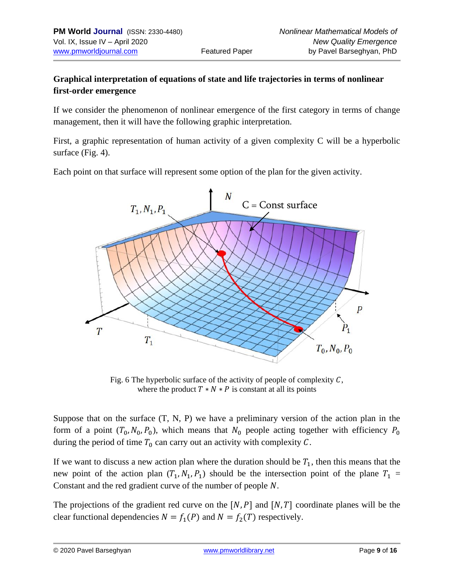### **Graphical interpretation of equations of state and life trajectories in terms of nonlinear first-order emergence**

If we consider the phenomenon of nonlinear emergence of the first category in terms of change management, then it will have the following graphic interpretation.

First, a graphic representation of human activity of a given complexity C will be a hyperbolic surface (Fig. 4).

Each point on that surface will represent some option of the plan for the given activity.



Fig. 6 The hyperbolic surface of the activity of people of complexity  $C$ , where the product  $T * N * P$  is constant at all its points

Suppose that on the surface (T, N, P) we have a preliminary version of the action plan in the form of a point  $(T_0, N_0, P_0)$ , which means that  $N_0$  people acting together with efficiency  $P_0$ during the period of time  $T_0$  can carry out an activity with complexity C.

If we want to discuss a new action plan where the duration should be  $T_1$ , then this means that the new point of the action plan  $(T_1, N_1, P_1)$  should be the intersection point of the plane  $T_1$  = Constant and the red gradient curve of the number of people  $N$ .

The projections of the gradient red curve on the  $[N, P]$  and  $[N, T]$  coordinate planes will be the clear functional dependencies  $N = f_1(P)$  and  $N = f_2(T)$  respectively.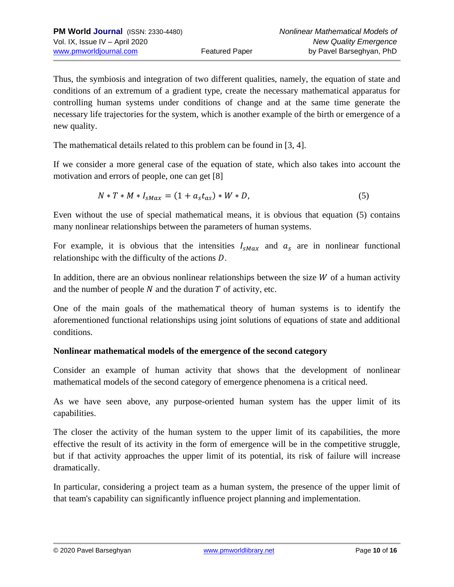Thus, the symbiosis and integration of two different qualities, namely, the equation of state and conditions of an extremum of a gradient type, create the necessary mathematical apparatus for controlling human systems under conditions of change and at the same time generate the necessary life trajectories for the system, which is another example of the birth or emergence of a new quality.

The mathematical details related to this problem can be found in [3, 4].

If we consider a more general case of the equation of state, which also takes into account the motivation and errors of people, one can get [8]

$$
N * T * M * I_{sMax} = (1 + a_s t_{as}) * W * D,
$$
\n(5)

Even without the use of special mathematical means, it is obvious that equation (5) contains many nonlinear relationships between the parameters of human systems.

For example, it is obvious that the intensities  $I_{sMax}$  and  $a_s$  are in nonlinear functional relationshipc with the difficulty of the actions  $D$ .

In addition, there are an obvious nonlinear relationships between the size  $W$  of a human activity and the number of people  $N$  and the duration  $T$  of activity, etc.

One of the main goals of the mathematical theory of human systems is to identify the aforementioned functional relationships using joint solutions of equations of state and additional conditions.

#### **Nonlinear mathematical models of the emergence of the second category**

Consider an example of human activity that shows that the development of nonlinear mathematical models of the second category of emergence phenomena is a critical need.

As we have seen above, any purpose-oriented human system has the upper limit of its capabilities.

The closer the activity of the human system to the upper limit of its capabilities, the more effective the result of its activity in the form of emergence will be in the competitive struggle, but if that activity approaches the upper limit of its potential, its risk of failure will increase dramatically.

In particular, considering a project team as a human system, the presence of the upper limit of that team's capability can significantly influence project planning and implementation.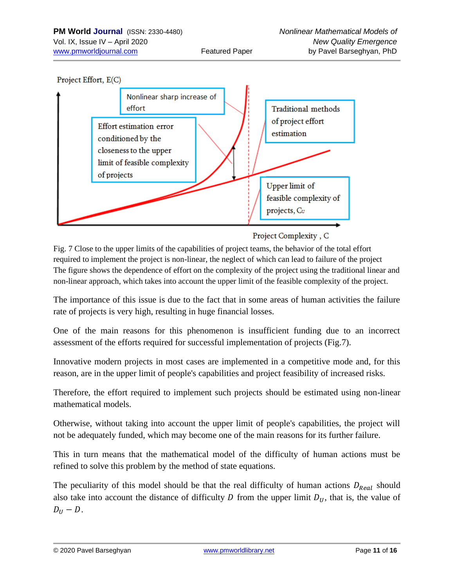

Project Complexity, C

Fig. 7 Close to the upper limits of the capabilities of project teams, the behavior of the total effort required to implement the project is non-linear, the neglect of which can lead to failure of the project The figure shows the dependence of effort on the complexity of the project using the traditional linear and non-linear approach, which takes into account the upper limit of the feasible complexity of the project.

The importance of this issue is due to the fact that in some areas of human activities the failure rate of projects is very high, resulting in huge financial losses.

One of the main reasons for this phenomenon is insufficient funding due to an incorrect assessment of the efforts required for successful implementation of projects (Fig.7).

Innovative modern projects in most cases are implemented in a competitive mode and, for this reason, are in the upper limit of people's capabilities and project feasibility of increased risks.

Therefore, the effort required to implement such projects should be estimated using non-linear mathematical models.

Otherwise, without taking into account the upper limit of people's capabilities, the project will not be adequately funded, which may become one of the main reasons for its further failure.

This in turn means that the mathematical model of the difficulty of human actions must be refined to solve this problem by the method of state equations.

The peculiarity of this model should be that the real difficulty of human actions  $D_{Real}$  should also take into account the distance of difficulty D from the upper limit  $D_{II}$ , that is, the value of  $D_{II}-D$ .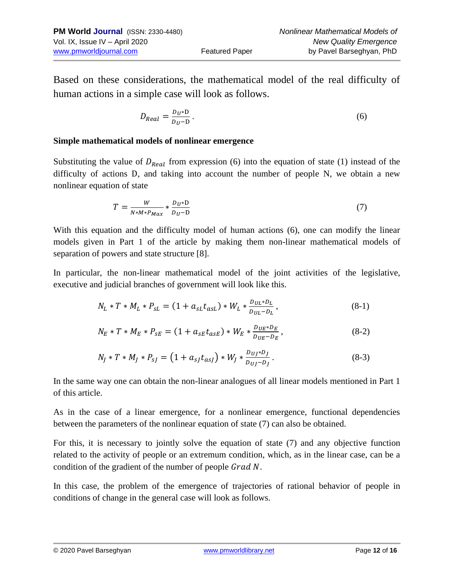Based on these considerations, the mathematical model of the real difficulty of human actions in a simple case will look as follows.

$$
D_{Real} = \frac{D_U \ast D}{D_U - D} \,. \tag{6}
$$

#### **Simple mathematical models of nonlinear emergence**

Substituting the value of  $D_{Real}$  from expression (6) into the equation of state (1) instead of the difficulty of actions D, and taking into account the number of people N, we obtain a new nonlinear equation of state

$$
T = \frac{W}{N \cdot M \cdot P_{Max}} \cdot \frac{D_U \cdot D}{D_U - D} \tag{7}
$$

With this equation and the difficulty model of human actions (6), one can modify the linear models given in Part 1 of the article by making them non-linear mathematical models of separation of powers and state structure [8].

In particular, the non-linear mathematical model of the joint activities of the legislative, executive and judicial branches of government will look like this.

$$
N_L * T * M_L * P_{sL} = (1 + a_{sL} t_{asL}) * W_L * \frac{D_{UL} * D_L}{D_{UL} - D_L},
$$
\n(8-1)

$$
N_E * T * M_E * P_{SE} = (1 + a_{SE} t_{ASE}) * W_E * \frac{D_{UE} * D_E}{D_{UE} - D_E},
$$
\n(8-2)

$$
N_J * T * M_J * P_{sJ} = (1 + a_{sJ}t_{asJ}) * W_J * \frac{D_{UJ} * D_J}{D_{UJ} - D_J}.
$$
\n(8-3)

In the same way one can obtain the non-linear analogues of all linear models mentioned in Part 1 of this article.

As in the case of a linear emergence, for a nonlinear emergence, functional dependencies between the parameters of the nonlinear equation of state (7) can also be obtained.

For this, it is necessary to jointly solve the equation of state (7) and any objective function related to the activity of people or an extremum condition, which, as in the linear case, can be a condition of the gradient of the number of people  $Grad N$ .

In this case, the problem of the emergence of trajectories of rational behavior of people in conditions of change in the general case will look as follows.

© 2020 Pavel Barseghyan [www.pmworldlibrary.net](http://www.pmworldlibrary.net/) Page **12** of **16**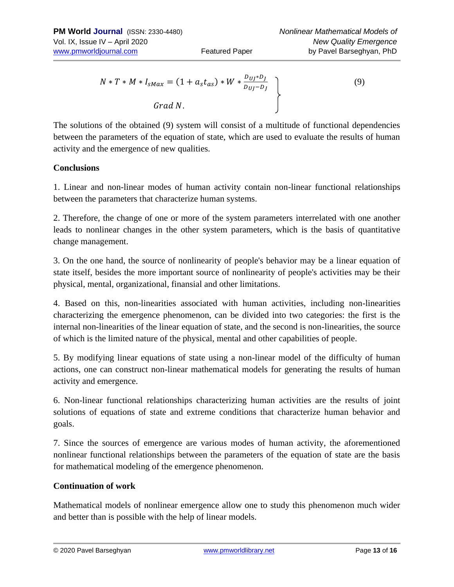$$
N * T * M * I_{sMax} = (1 + a_s t_{as}) * W * \frac{D_{UJ} * D_J}{D_{UJ} - D_J}
$$
  
Grad N. (9)

The solutions of the obtained (9) system will consist of a multitude of functional dependencies between the parameters of the equation of state, which are used to evaluate the results of human activity and the emergence of new qualities.

#### **Conclusions**

1. Linear and non-linear modes of human activity contain non-linear functional relationships between the parameters that characterize human systems.

2. Therefore, the change of one or more of the system parameters interrelated with one another leads to nonlinear changes in the other system parameters, which is the basis of quantitative change management.

3. On the one hand, the source of nonlinearity of people's behavior may be a linear equation of state itself, besides the more important source of nonlinearity of people's activities may be their physical, mental, organizational, finansial and other limitations.

4. Based on this, non-linearities associated with human activities, including non-linearities characterizing the emergence phenomenon, can be divided into two categories: the first is the internal non-linearities of the linear equation of state, and the second is non-linearities, the source of which is the limited nature of the physical, mental and other capabilities of people.

5. By modifying linear equations of state using a non-linear model of the difficulty of human actions, one can construct non-linear mathematical models for generating the results of human activity and emergence.

6. Non-linear functional relationships characterizing human activities are the results of joint solutions of equations of state and extreme conditions that characterize human behavior and goals.

7. Since the sources of emergence are various modes of human activity, the aforementioned nonlinear functional relationships between the parameters of the equation of state are the basis for mathematical modeling of the emergence phenomenon.

#### **Continuation of work**

Mathematical models of nonlinear emergence allow one to study this phenomenon much wider and better than is possible with the help of linear models.

© 2020 Pavel Barseghyan [www.pmworldlibrary.net](http://www.pmworldlibrary.net/) Page **13** of **16**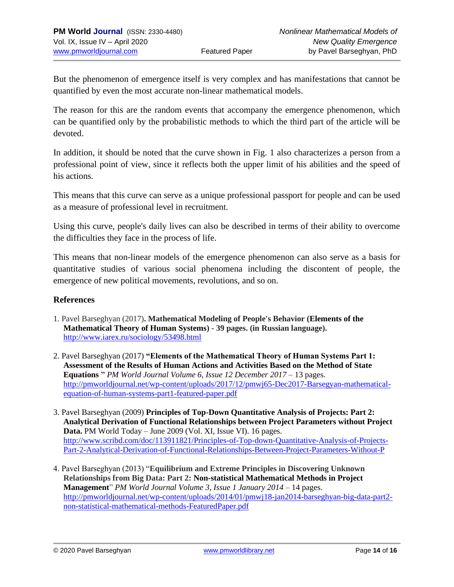But the phenomenon of emergence itself is very complex and has manifestations that cannot be quantified by even the most accurate non-linear mathematical models.

The reason for this are the random events that accompany the emergence phenomenon, which can be quantified only by the probabilistic methods to which the third part of the article will be devoted.

In addition, it should be noted that the curve shown in Fig. 1 also characterizes a person from a professional point of view, since it reflects both the upper limit of his abilities and the speed of his actions.

This means that this curve can serve as a unique professional passport for people and can be used as a measure of professional level in recruitment.

Using this curve, people's daily lives can also be described in terms of their ability to overcome the difficulties they face in the process of life.

This means that non-linear models of the emergence phenomenon can also serve as a basis for quantitative studies of various social phenomena including the discontent of people, the emergence of new political movements, revolutions, and so on.

#### **References**

- 1. Pavel Barseghyan (2017)**. Mathematical Modeling of People's Behavior (Elements of the Mathematical Theory of Human Systems) - 39 pages. (in Russian language).**  <http://www.iarex.ru/sociology/53498.html>
- 2. Pavel Barseghyan (2017) **"Elements of the Mathematical Theory of Human Systems Part 1: Assessment of the Results of Human Actions and Activities Based on the Method of State Equations "** *PM World Journal Volume 6, Issue 12 December 2017* – 13 pages. [http://pmworldjournal.net/wp-content/uploads/2017/12/pmwj65-Dec2017-Barsegyan-mathematical](http://pmworldjournal.net/wp-content/uploads/2017/12/pmwj65-Dec2017-Barsegyan-mathematical-equation-of-human-systems-part1-featured-paper.pdf)[equation-of-human-systems-part1-featured-paper.pdf](http://pmworldjournal.net/wp-content/uploads/2017/12/pmwj65-Dec2017-Barsegyan-mathematical-equation-of-human-systems-part1-featured-paper.pdf)
- 3. Pavel Barseghyan (2009) **Principles of Top-Down Quantitative Analysis of Projects: Part 2: Analytical Derivation of Functional Relationships between Project Parameters without Project Data.** PM World Today – June 2009 (Vol. XI, Issue VI). 16 pages. [http://www.scribd.com/doc/113911821/Principles-of-Top-down-Quantitative-Analysis-of-Projects-](http://www.scribd.com/doc/113911821/Principles-of-Top-down-Quantitative-Analysis-of-Projects-Part-2-Analytical-Derivation-of-Functional-Relationships-Between-Project-Parameters-Without-P)[Part-2-Analytical-Derivation-of-Functional-Relationships-Between-Project-Parameters-Without-P](http://www.scribd.com/doc/113911821/Principles-of-Top-down-Quantitative-Analysis-of-Projects-Part-2-Analytical-Derivation-of-Functional-Relationships-Between-Project-Parameters-Without-P)
- 4. Pavel Barseghyan (2013) "**Equilibrium and Extreme Principles in Discovering Unknown Relationships from Big Data: Part 2: Non-statistical Mathematical Methods in Project Management**" *PM World Journal Volume 3, Issue 1 January 2014* – 14 pages. [http://pmworldjournal.net/wp-content/uploads/2014/01/pmwj18-jan2014-barseghyan-big-data-part2](http://pmworldjournal.net/wp-content/uploads/2014/01/pmwj18-jan2014-barseghyan-big-data-part2-non-statistical-mathematical-methods-FeaturedPaper.pdf) [non-statistical-mathematical-methods-FeaturedPaper.pdf](http://pmworldjournal.net/wp-content/uploads/2014/01/pmwj18-jan2014-barseghyan-big-data-part2-non-statistical-mathematical-methods-FeaturedPaper.pdf)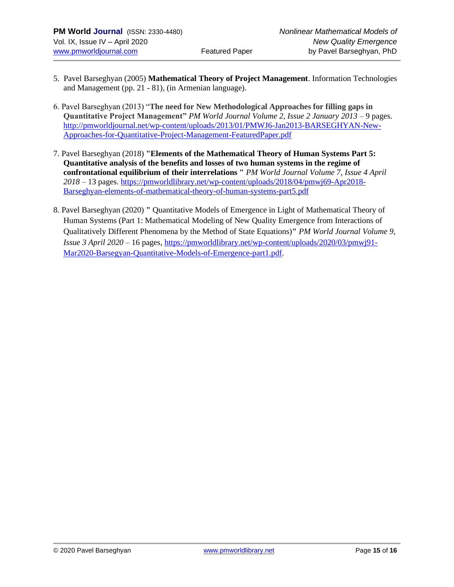- 5. Pavel Barseghyan (2005) **Mathematical Theory of Project Management**. Information Technologies and Management (pp. 21 - 81), (in Armenian language).
- 6. Pavel Barseghyan (2013) "**The need for New Methodological Approaches for filling gaps in Quantitative Project Management"** *PM World Journal Volume 2, Issue 2 January 2013* – 9 pages. [http://pmworldjournal.net/wp-content/uploads/2013/01/PMWJ6-Jan2013-BARSEGHYAN-New-](http://pmworldjournal.net/wp-content/uploads/2013/01/PMWJ6-Jan2013-BARSEGHYAN-New-Approaches-for-Quantitative-Project-Management-FeaturedPaper.pdf)[Approaches-for-Quantitative-Project-Management-FeaturedPaper.pdf](http://pmworldjournal.net/wp-content/uploads/2013/01/PMWJ6-Jan2013-BARSEGHYAN-New-Approaches-for-Quantitative-Project-Management-FeaturedPaper.pdf)
- 7. Pavel Barseghyan (2018) **"Elements of the Mathematical Theory of Human Systems Part 5: Quantitative analysis of the benefits and losses of two human systems in the regime of confrontational equilibrium of their interrelations "** *PM World Journal Volume 7, Issue 4 April 2018* – 13 pages. [https://pmworldlibrary.net/wp-content/uploads/2018/04/pmwj69-Apr2018-](https://pmworldlibrary.net/wp-content/uploads/2018/04/pmwj69-Apr2018-Barseghyan-elements-of-mathematical-theory-of-human-systems-part5.pdf) [Barseghyan-elements-of-mathematical-theory-of-human-systems-part5.pdf](https://pmworldlibrary.net/wp-content/uploads/2018/04/pmwj69-Apr2018-Barseghyan-elements-of-mathematical-theory-of-human-systems-part5.pdf)
- 8. Pavel Barseghyan (2020) **"** Quantitative Models of Emergence in Light of Mathematical Theory of Human Systems (Part 1: Mathematical Modeling of New Quality Emergence from Interactions of Qualitatively Different Phenomena by the Method of State Equations)**"** *PM World Journal Volume 9, Issue 3 April 2020* – 16 pages, [https://pmworldlibrary.net/wp-content/uploads/2020/03/pmwj91-](https://pmworldlibrary.net/wp-content/uploads/2020/03/pmwj91-Mar2020-Barsegyan-Quantitative-Models-of-Emergence-part1.pdf) [Mar2020-Barsegyan-Quantitative-Models-of-Emergence-part1.pdf.](https://pmworldlibrary.net/wp-content/uploads/2020/03/pmwj91-Mar2020-Barsegyan-Quantitative-Models-of-Emergence-part1.pdf)